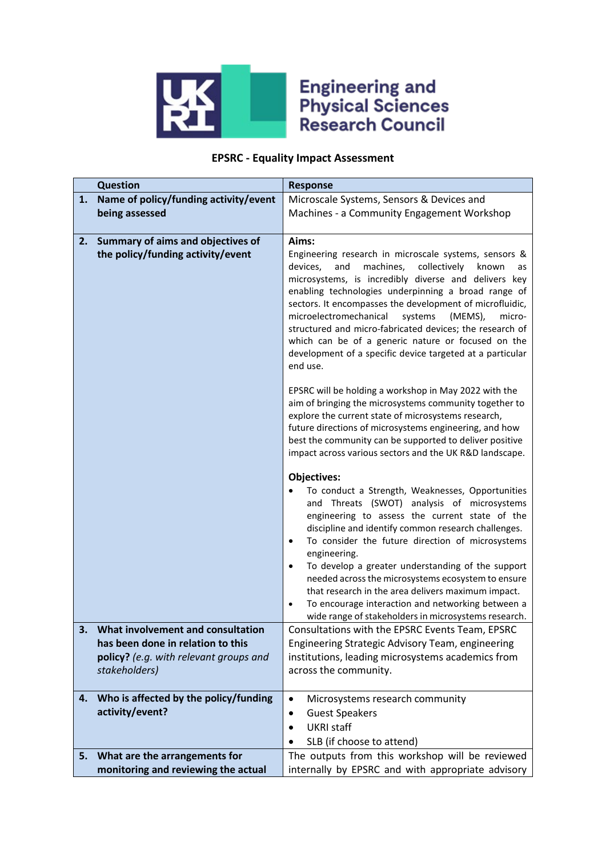

## **Engineering and<br>Physical Sciences<br>Research Council**

## **EPSRC - Equality Impact Assessment**

|    | <b>Question</b><br><b>Response</b>                                                                                                |                                                                                                                                                                                                                                                                                                                                                                                                                                                                                                                                                                                                                         |  |  |
|----|-----------------------------------------------------------------------------------------------------------------------------------|-------------------------------------------------------------------------------------------------------------------------------------------------------------------------------------------------------------------------------------------------------------------------------------------------------------------------------------------------------------------------------------------------------------------------------------------------------------------------------------------------------------------------------------------------------------------------------------------------------------------------|--|--|
| 1. | Name of policy/funding activity/event                                                                                             | Microscale Systems, Sensors & Devices and                                                                                                                                                                                                                                                                                                                                                                                                                                                                                                                                                                               |  |  |
|    | being assessed                                                                                                                    | Machines - a Community Engagement Workshop                                                                                                                                                                                                                                                                                                                                                                                                                                                                                                                                                                              |  |  |
|    |                                                                                                                                   |                                                                                                                                                                                                                                                                                                                                                                                                                                                                                                                                                                                                                         |  |  |
| 2. | Summary of aims and objectives of<br>the policy/funding activity/event                                                            | Aims:<br>Engineering research in microscale systems, sensors &<br>devices,<br>machines,<br>collectively<br>and<br>known<br>as<br>microsystems, is incredibly diverse and delivers key<br>enabling technologies underpinning a broad range of<br>sectors. It encompasses the development of microfluidic,<br>microelectromechanical<br>systems<br>(MEMS),<br>micro-<br>structured and micro-fabricated devices; the research of                                                                                                                                                                                          |  |  |
|    |                                                                                                                                   | which can be of a generic nature or focused on the<br>development of a specific device targeted at a particular<br>end use.                                                                                                                                                                                                                                                                                                                                                                                                                                                                                             |  |  |
|    |                                                                                                                                   | EPSRC will be holding a workshop in May 2022 with the<br>aim of bringing the microsystems community together to<br>explore the current state of microsystems research,<br>future directions of microsystems engineering, and how<br>best the community can be supported to deliver positive<br>impact across various sectors and the UK R&D landscape.                                                                                                                                                                                                                                                                  |  |  |
|    |                                                                                                                                   | <b>Objectives:</b><br>To conduct a Strength, Weaknesses, Opportunities<br>and Threats (SWOT) analysis of microsystems<br>engineering to assess the current state of the<br>discipline and identify common research challenges.<br>To consider the future direction of microsystems<br>$\bullet$<br>engineering.<br>To develop a greater understanding of the support<br>$\bullet$<br>needed across the microsystems ecosystem to ensure<br>that research in the area delivers maximum impact.<br>To encourage interaction and networking between a<br>$\bullet$<br>wide range of stakeholders in microsystems research. |  |  |
| 3. | What involvement and consultation<br>has been done in relation to this<br>policy? (e.g. with relevant groups and<br>stakeholders) | Consultations with the EPSRC Events Team, EPSRC<br>Engineering Strategic Advisory Team, engineering<br>institutions, leading microsystems academics from<br>across the community.                                                                                                                                                                                                                                                                                                                                                                                                                                       |  |  |
| 4. | Who is affected by the policy/funding<br>activity/event?                                                                          | Microsystems research community<br>$\bullet$<br><b>Guest Speakers</b><br>$\bullet$<br><b>UKRI staff</b><br>$\bullet$<br>SLB (if choose to attend)                                                                                                                                                                                                                                                                                                                                                                                                                                                                       |  |  |
| 5. | What are the arrangements for                                                                                                     | The outputs from this workshop will be reviewed                                                                                                                                                                                                                                                                                                                                                                                                                                                                                                                                                                         |  |  |
|    | monitoring and reviewing the actual                                                                                               | internally by EPSRC and with appropriate advisory                                                                                                                                                                                                                                                                                                                                                                                                                                                                                                                                                                       |  |  |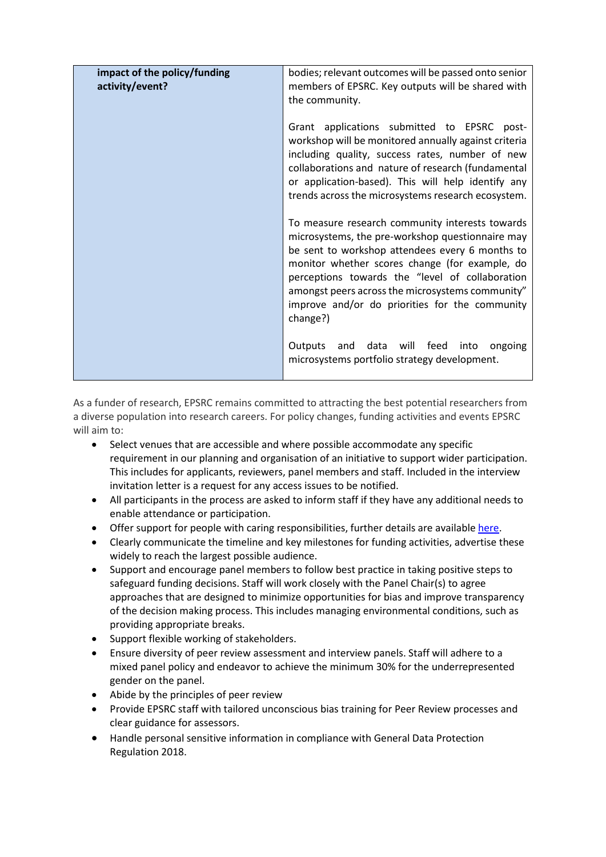| impact of the policy/funding<br>activity/event? | bodies; relevant outcomes will be passed onto senior<br>members of EPSRC. Key outputs will be shared with<br>the community.                                                                                                                                                                                                                                                   |
|-------------------------------------------------|-------------------------------------------------------------------------------------------------------------------------------------------------------------------------------------------------------------------------------------------------------------------------------------------------------------------------------------------------------------------------------|
|                                                 | Grant applications submitted to EPSRC post-<br>workshop will be monitored annually against criteria<br>including quality, success rates, number of new<br>collaborations and nature of research (fundamental<br>or application-based). This will help identify any<br>trends across the microsystems research ecosystem.                                                      |
|                                                 | To measure research community interests towards<br>microsystems, the pre-workshop questionnaire may<br>be sent to workshop attendees every 6 months to<br>monitor whether scores change (for example, do<br>perceptions towards the "level of collaboration<br>amongst peers across the microsystems community"<br>improve and/or do priorities for the community<br>change?) |
|                                                 | data will feed into<br>Outputs<br>and<br>ongoing<br>microsystems portfolio strategy development.                                                                                                                                                                                                                                                                              |

As a funder of research, EPSRC remains committed to attracting the best potential researchers from a diverse population into research careers. For policy changes, funding activities and events EPSRC will aim to:

- Select venues that are accessible and where possible accommodate any specific requirement in our planning and organisation of an initiative to support wider participation. This includes for applicants, reviewers, panel members and staff. Included in the interview invitation letter is a request for any access issues to be notified.
- All participants in the process are asked to inform staff if they have any additional needs to enable attendance or participation.
- Offer support for people with caring responsibilities, further details are available [here.](https://epsrc.ukri.org/funding/applicationprocess/basics/caringresponsibilities/)
- Clearly communicate the timeline and key milestones for funding activities, advertise these widely to reach the largest possible audience.
- Support and encourage panel members to follow best practice in taking positive steps to safeguard funding decisions. Staff will work closely with the Panel Chair(s) to agree approaches that are designed to minimize opportunities for bias and improve transparency of the decision making process. This includes managing environmental conditions, such as providing appropriate breaks.
- Support flexible working of stakeholders.
- Ensure diversity of peer review assessment and interview panels. Staff will adhere to a mixed panel policy and endeavor to achieve the minimum 30% for the underrepresented gender on the panel.
- Abide by the principles of peer review
- Provide EPSRC staff with tailored unconscious bias training for Peer Review processes and clear guidance for assessors.
- Handle personal sensitive information in compliance with General Data Protection Regulation 2018.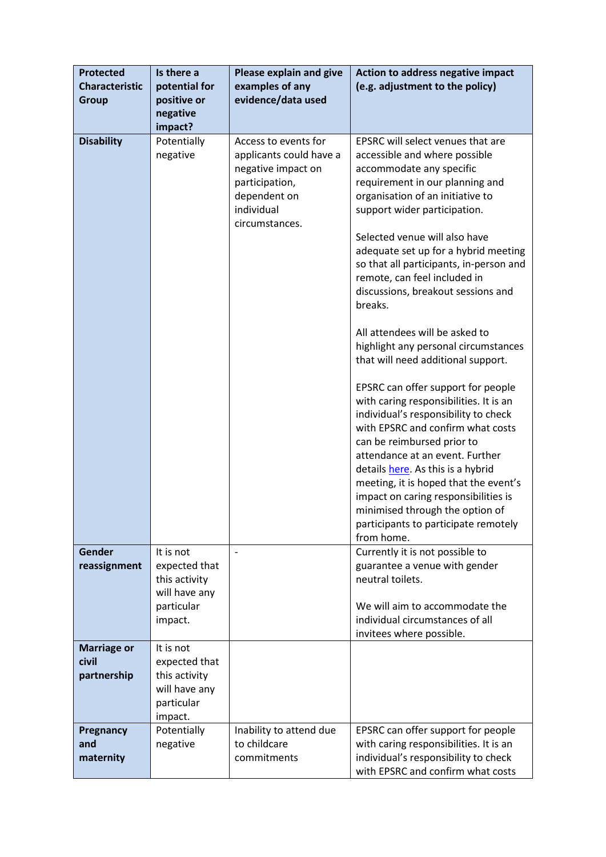| <b>Protected</b><br><b>Characteristic</b><br><b>Group</b> | Is there a<br>potential for<br>positive or<br>negative<br>impact?                     | Please explain and give<br>examples of any<br>evidence/data used                                                                        | Action to address negative impact<br>(e.g. adjustment to the policy)                                                                                                                                                                                                                                                                                                                                                                                                                                                                                                                                                                                                                                                                                                                                                                                                                                                                                                    |
|-----------------------------------------------------------|---------------------------------------------------------------------------------------|-----------------------------------------------------------------------------------------------------------------------------------------|-------------------------------------------------------------------------------------------------------------------------------------------------------------------------------------------------------------------------------------------------------------------------------------------------------------------------------------------------------------------------------------------------------------------------------------------------------------------------------------------------------------------------------------------------------------------------------------------------------------------------------------------------------------------------------------------------------------------------------------------------------------------------------------------------------------------------------------------------------------------------------------------------------------------------------------------------------------------------|
| <b>Disability</b>                                         | Potentially<br>negative                                                               | Access to events for<br>applicants could have a<br>negative impact on<br>participation,<br>dependent on<br>individual<br>circumstances. | EPSRC will select venues that are<br>accessible and where possible<br>accommodate any specific<br>requirement in our planning and<br>organisation of an initiative to<br>support wider participation.<br>Selected venue will also have<br>adequate set up for a hybrid meeting<br>so that all participants, in-person and<br>remote, can feel included in<br>discussions, breakout sessions and<br>breaks.<br>All attendees will be asked to<br>highlight any personal circumstances<br>that will need additional support.<br>EPSRC can offer support for people<br>with caring responsibilities. It is an<br>individual's responsibility to check<br>with EPSRC and confirm what costs<br>can be reimbursed prior to<br>attendance at an event. Further<br>details here. As this is a hybrid<br>meeting, it is hoped that the event's<br>impact on caring responsibilities is<br>minimised through the option of<br>participants to participate remotely<br>from home. |
| Gender<br>reassignment                                    | It is not<br>expected that<br>this activity<br>will have any<br>particular<br>impact. | $\overline{\phantom{a}}$                                                                                                                | Currently it is not possible to<br>guarantee a venue with gender<br>neutral toilets.<br>We will aim to accommodate the<br>individual circumstances of all<br>invitees where possible.                                                                                                                                                                                                                                                                                                                                                                                                                                                                                                                                                                                                                                                                                                                                                                                   |
| <b>Marriage or</b><br>civil<br>partnership                | It is not<br>expected that<br>this activity<br>will have any<br>particular<br>impact. |                                                                                                                                         |                                                                                                                                                                                                                                                                                                                                                                                                                                                                                                                                                                                                                                                                                                                                                                                                                                                                                                                                                                         |
| Pregnancy<br>and<br>maternity                             | Potentially<br>negative                                                               | Inability to attend due<br>to childcare<br>commitments                                                                                  | EPSRC can offer support for people<br>with caring responsibilities. It is an<br>individual's responsibility to check<br>with EPSRC and confirm what costs                                                                                                                                                                                                                                                                                                                                                                                                                                                                                                                                                                                                                                                                                                                                                                                                               |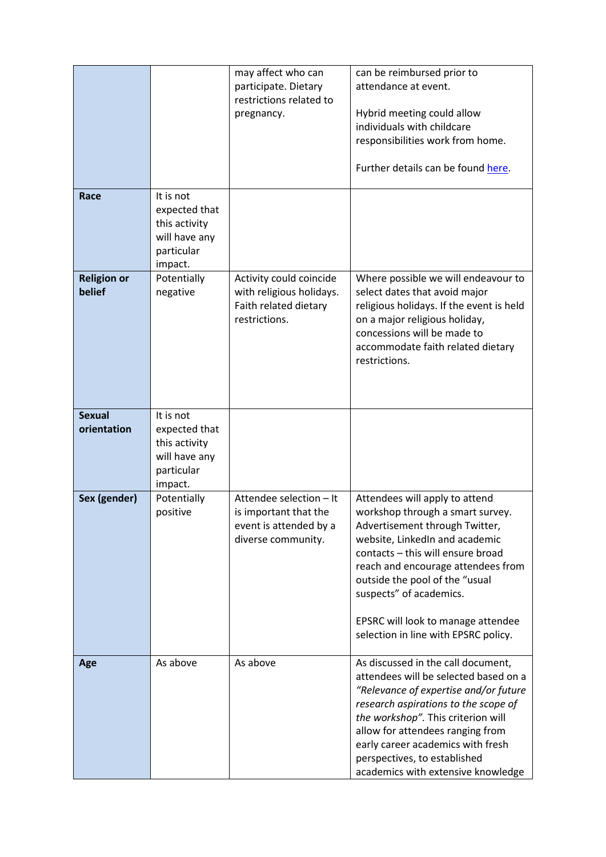|                              |                             | may affect who can                                  | can be reimbursed prior to                                           |
|------------------------------|-----------------------------|-----------------------------------------------------|----------------------------------------------------------------------|
|                              |                             | participate. Dietary                                | attendance at event.                                                 |
|                              |                             | restrictions related to                             |                                                                      |
|                              |                             | pregnancy.                                          | Hybrid meeting could allow                                           |
|                              |                             |                                                     | individuals with childcare                                           |
|                              |                             |                                                     | responsibilities work from home.                                     |
|                              |                             |                                                     | Further details can be found here.                                   |
| Race                         | It is not                   |                                                     |                                                                      |
|                              | expected that               |                                                     |                                                                      |
|                              | this activity               |                                                     |                                                                      |
|                              | will have any               |                                                     |                                                                      |
|                              | particular                  |                                                     |                                                                      |
|                              | impact.                     |                                                     |                                                                      |
| <b>Religion or</b><br>belief | Potentially<br>negative     | Activity could coincide<br>with religious holidays. | Where possible we will endeavour to<br>select dates that avoid major |
|                              |                             | Faith related dietary                               | religious holidays. If the event is held                             |
|                              |                             | restrictions.                                       | on a major religious holiday,                                        |
|                              |                             |                                                     | concessions will be made to                                          |
|                              |                             |                                                     | accommodate faith related dietary                                    |
|                              |                             |                                                     | restrictions.                                                        |
|                              |                             |                                                     |                                                                      |
|                              |                             |                                                     |                                                                      |
|                              |                             |                                                     |                                                                      |
| <b>Sexual</b>                | It is not                   |                                                     |                                                                      |
| orientation                  | expected that               |                                                     |                                                                      |
|                              | this activity               |                                                     |                                                                      |
|                              | will have any<br>particular |                                                     |                                                                      |
|                              | impact.                     |                                                     |                                                                      |
| Sex (gender)                 | Potentially                 | Attendee selection - It                             | Attendees will apply to attend                                       |
|                              | positive                    | is important that the                               | workshop through a smart survey.                                     |
|                              |                             | event is attended by a                              | Advertisement through Twitter,                                       |
|                              |                             | diverse community.                                  | website, LinkedIn and academic                                       |
|                              |                             |                                                     | contacts - this will ensure broad                                    |
|                              |                             |                                                     | reach and encourage attendees from                                   |
|                              |                             |                                                     | outside the pool of the "usual                                       |
|                              |                             |                                                     | suspects" of academics.                                              |
|                              |                             |                                                     | EPSRC will look to manage attendee                                   |
|                              |                             |                                                     | selection in line with EPSRC policy.                                 |
|                              |                             |                                                     |                                                                      |
| Age                          | As above                    | As above                                            | As discussed in the call document,                                   |
|                              |                             |                                                     | attendees will be selected based on a                                |
|                              |                             |                                                     | "Relevance of expertise and/or future                                |
|                              |                             |                                                     | research aspirations to the scope of                                 |
|                              |                             |                                                     | the workshop". This criterion will                                   |
|                              |                             |                                                     | allow for attendees ranging from                                     |
|                              |                             |                                                     | early career academics with fresh                                    |
|                              |                             |                                                     | perspectives, to established                                         |
|                              |                             |                                                     | academics with extensive knowledge                                   |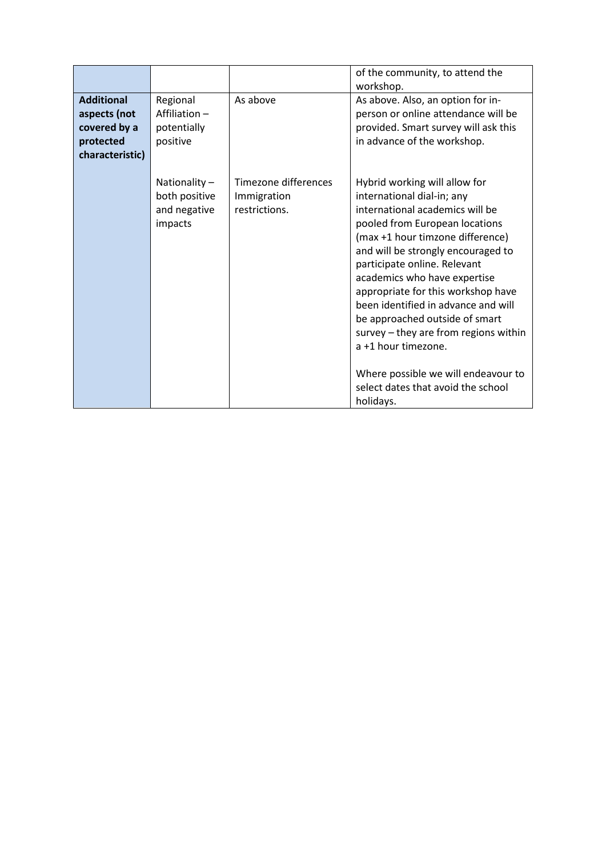|                                                                                   |                                                          |                                                      | of the community, to attend the<br>workshop.                                                                                                                                                                                                                                                                                                                                                                                                                                                                                                        |
|-----------------------------------------------------------------------------------|----------------------------------------------------------|------------------------------------------------------|-----------------------------------------------------------------------------------------------------------------------------------------------------------------------------------------------------------------------------------------------------------------------------------------------------------------------------------------------------------------------------------------------------------------------------------------------------------------------------------------------------------------------------------------------------|
| <b>Additional</b><br>aspects (not<br>covered by a<br>protected<br>characteristic) | Regional<br>Affiliation-<br>potentially<br>positive      | As above                                             | As above. Also, an option for in-<br>person or online attendance will be<br>provided. Smart survey will ask this<br>in advance of the workshop.                                                                                                                                                                                                                                                                                                                                                                                                     |
|                                                                                   | Nationality-<br>both positive<br>and negative<br>impacts | Timezone differences<br>Immigration<br>restrictions. | Hybrid working will allow for<br>international dial-in; any<br>international academics will be<br>pooled from European locations<br>(max +1 hour timzone difference)<br>and will be strongly encouraged to<br>participate online. Relevant<br>academics who have expertise<br>appropriate for this workshop have<br>been identified in advance and will<br>be approached outside of smart<br>survey – they are from regions within<br>a +1 hour timezone.<br>Where possible we will endeavour to<br>select dates that avoid the school<br>holidays. |